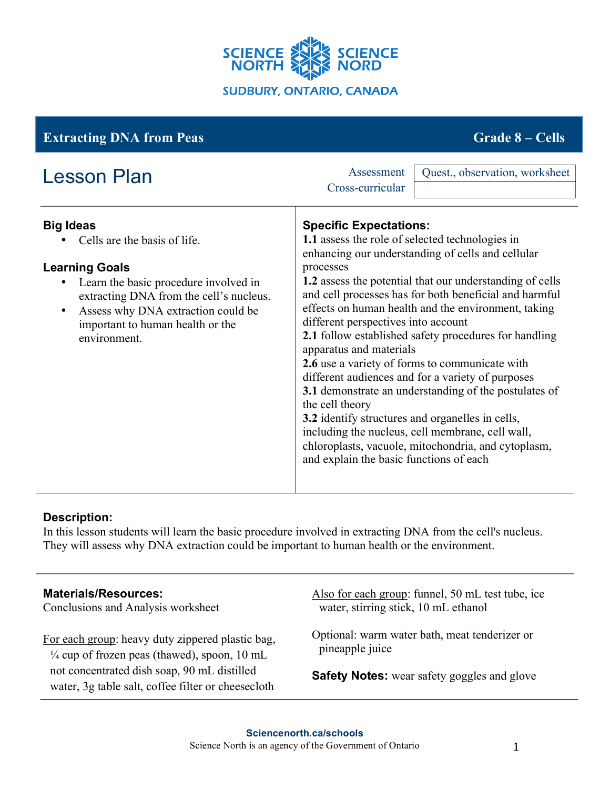

| <b>Extracting DNA from Peas</b>                                                                                                                                                                                                                         | <b>Grade 8 – Cells</b>                                                                                                                                                                                                                                                                                                                                                                                                                                                                                                                                                                                                                                                                                                                                                                                              |
|---------------------------------------------------------------------------------------------------------------------------------------------------------------------------------------------------------------------------------------------------------|---------------------------------------------------------------------------------------------------------------------------------------------------------------------------------------------------------------------------------------------------------------------------------------------------------------------------------------------------------------------------------------------------------------------------------------------------------------------------------------------------------------------------------------------------------------------------------------------------------------------------------------------------------------------------------------------------------------------------------------------------------------------------------------------------------------------|
| <b>Lesson Plan</b>                                                                                                                                                                                                                                      | Assessment<br>Quest., observation, worksheet<br>Cross-curricular                                                                                                                                                                                                                                                                                                                                                                                                                                                                                                                                                                                                                                                                                                                                                    |
| <b>Big Ideas</b><br>Cells are the basis of life.<br><b>Learning Goals</b><br>Learn the basic procedure involved in<br>extracting DNA from the cell's nucleus.<br>Assess why DNA extraction could be<br>important to human health or the<br>environment. | <b>Specific Expectations:</b><br>1.1 assess the role of selected technologies in<br>enhancing our understanding of cells and cellular<br>processes<br>1.2 assess the potential that our understanding of cells<br>and cell processes has for both beneficial and harmful<br>effects on human health and the environment, taking<br>different perspectives into account<br><b>2.1</b> follow established safety procedures for handling<br>apparatus and materials<br>2.6 use a variety of forms to communicate with<br>different audiences and for a variety of purposes<br>3.1 demonstrate an understanding of the postulates of<br>the cell theory<br>3.2 identify structures and organelles in cells,<br>including the nucleus, cell membrane, cell wall,<br>chloroplasts, vacuole, mitochondria, and cytoplasm, |
|                                                                                                                                                                                                                                                         | and explain the basic functions of each                                                                                                                                                                                                                                                                                                                                                                                                                                                                                                                                                                                                                                                                                                                                                                             |

# **Description:**

In this lesson students will learn the basic procedure involved in extracting DNA from the cell's nucleus. They will assess why DNA extraction could be important to human health or the environment.

## **Materials/Resources:**

Conclusions and Analysis worksheet

For each group: heavy duty zippered plastic bag,  $\frac{1}{4}$  cup of frozen peas (thawed), spoon, 10 mL not concentrated dish soap, 90 mL distilled water, 3g table salt, coffee filter or cheesecloth

Also for each group: funnel, 50 mL test tube, ice water, stirring stick, 10 mL ethanol

Optional: warm water bath, meat tenderizer or pineapple juice

**Safety Notes:** wear safety goggles and glove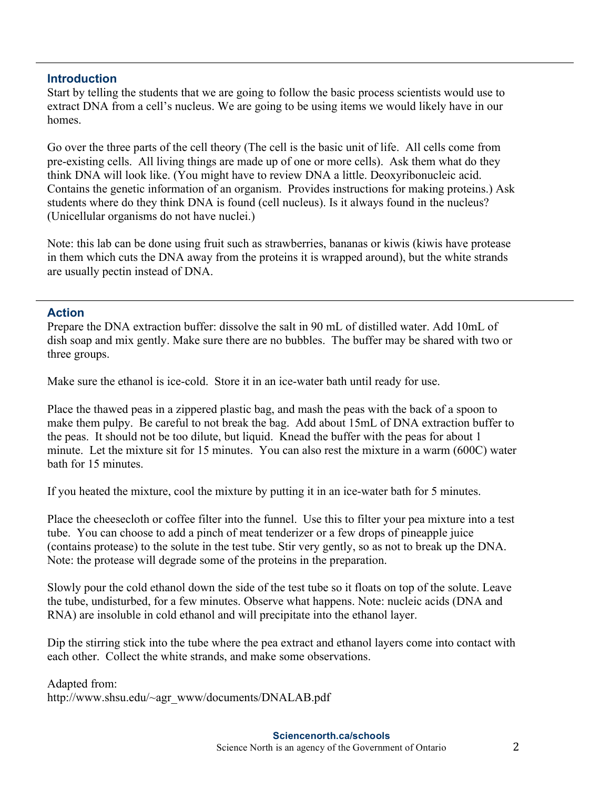### **Introduction**

Start by telling the students that we are going to follow the basic process scientists would use to extract DNA from a cell's nucleus. We are going to be using items we would likely have in our homes.

Go over the three parts of the cell theory (The cell is the basic unit of life. All cells come from pre-existing cells. All living things are made up of one or more cells). Ask them what do they think DNA will look like. (You might have to review DNA a little. Deoxyribonucleic acid. Contains the genetic information of an organism. Provides instructions for making proteins.) Ask students where do they think DNA is found (cell nucleus). Is it always found in the nucleus? (Unicellular organisms do not have nuclei.)

Note: this lab can be done using fruit such as strawberries, bananas or kiwis (kiwis have protease in them which cuts the DNA away from the proteins it is wrapped around), but the white strands are usually pectin instead of DNA.

#### **Action**

Prepare the DNA extraction buffer: dissolve the salt in 90 mL of distilled water. Add 10mL of dish soap and mix gently. Make sure there are no bubbles. The buffer may be shared with two or three groups.

Make sure the ethanol is ice-cold. Store it in an ice-water bath until ready for use.

Place the thawed peas in a zippered plastic bag, and mash the peas with the back of a spoon to make them pulpy. Be careful to not break the bag. Add about 15mL of DNA extraction buffer to the peas. It should not be too dilute, but liquid. Knead the buffer with the peas for about 1 minute. Let the mixture sit for 15 minutes. You can also rest the mixture in a warm (600C) water bath for 15 minutes.

If you heated the mixture, cool the mixture by putting it in an ice-water bath for 5 minutes.

Place the cheesecloth or coffee filter into the funnel. Use this to filter your pea mixture into a test tube. You can choose to add a pinch of meat tenderizer or a few drops of pineapple juice (contains protease) to the solute in the test tube. Stir very gently, so as not to break up the DNA. Note: the protease will degrade some of the proteins in the preparation.

Slowly pour the cold ethanol down the side of the test tube so it floats on top of the solute. Leave the tube, undisturbed, for a few minutes. Observe what happens. Note: nucleic acids (DNA and RNA) are insoluble in cold ethanol and will precipitate into the ethanol layer.

Dip the stirring stick into the tube where the pea extract and ethanol layers come into contact with each other. Collect the white strands, and make some observations.

Adapted from: http://www.shsu.edu/~agr\_www/documents/DNALAB.pdf